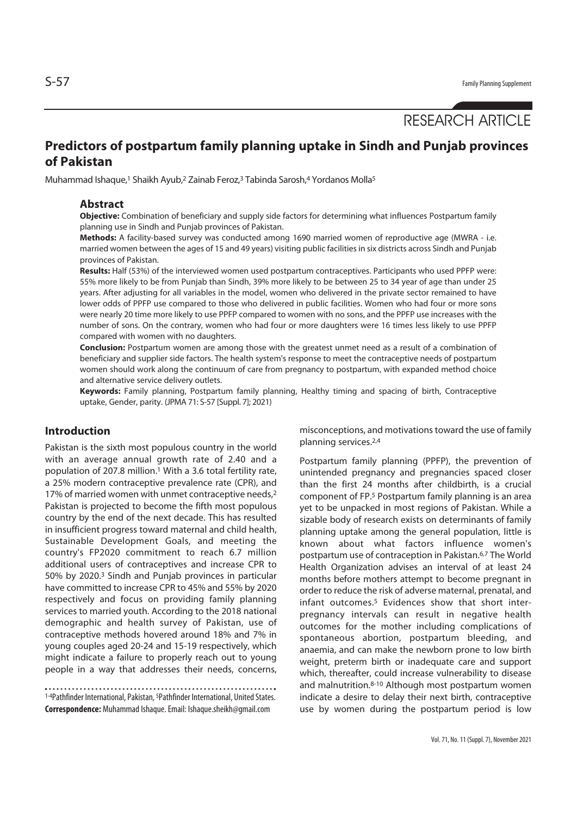# RESEARCH ARTICLE

## **Predictors of postpartum family planning uptake in Sindh and Punjab provinces of Pakistan**

Muhammad Ishaque,<sup>1</sup> Shaikh Ayub,<sup>2</sup> Zainab Feroz,<sup>3</sup> Tabinda Sarosh,<sup>4</sup> Yordanos Molla<sup>5</sup>

#### **Abstract**

**Objective:** Combination of beneficiary and supply side factors for determining what influences Postpartum family planning use in Sindh and Punjab provinces of Pakistan.

**Methods:** A facility-based survey was conducted among 1690 married women of reproductive age (MWRA - i.e. married women between the ages of 15 and 49 years) visiting public facilities in six districts across Sindh and Punjab provinces of Pakistan.

**Results:** Half (53%) of the interviewed women used postpartum contraceptives. Participants who used PPFP were: 55% more likely to be from Punjab than Sindh, 39% more likely to be between 25 to 34 year of age than under 25 years. After adjusting for all variables in the model, women who delivered in the private sector remained to have lower odds of PPFP use compared to those who delivered in public facilities. Women who had four or more sons were nearly 20 time more likely to use PPFP compared to women with no sons, and the PPFP use increases with the number of sons. On the contrary, women who had four or more daughters were 16 times less likely to use PPFP compared with women with no daughters.

**Conclusion:** Postpartum women are among those with the greatest unmet need as a result of a combination of beneficiary and supplier side factors. The health system's response to meet the contraceptive needs of postpartum women should work along the continuum of care from pregnancy to postpartum, with expanded method choice and alternative service delivery outlets.

**Keywords:** Family planning, Postpartum family planning, Healthy timing and spacing of birth, Contraceptive uptake, Gender, parity. (JPMA 71: S-57 [Suppl. 7]; 2021)

## **Introduction**

Pakistan is the sixth most populous country in the world with an average annual growth rate of 2.40 and a population of 207.8 million.1 With a 3.6 total fertility rate, a 25% modern contraceptive prevalence rate (CPR), and 17% of married women with unmet contraceptive needs,<sup>2</sup> Pakistan is projected to become the fifth most populous country by the end of the next decade. This has resulted in insufficient progress toward maternal and child health, Sustainable Development Goals, and meeting the country's FP2020 commitment to reach 6.7 million additional users of contraceptives and increase CPR to 50% by 2020.3 Sindh and Punjab provinces in particular have committed to increase CPR to 45% and 55% by 2020 respectively and focus on providing family planning services to married youth. According to the 2018 national demographic and health survey of Pakistan, use of contraceptive methods hovered around 18% and 7% in young couples aged 20-24 and 15-19 respectively, which might indicate a failure to properly reach out to young people in a way that addresses their needs, concerns,

1-4Pathfinder International, Pakistan, 5Pathfinder International, United States. **Correspondence:** Muhammad Ishaque. Email: Ishaque.sheikh@gmail.com

misconceptions, and motivations toward the use of family planning services.2,4

Postpartum family planning (PPFP), the prevention of unintended pregnancy and pregnancies spaced closer than the first 24 months after childbirth, is a crucial component of FP.5 Postpartum family planning is an area yet to be unpacked in most regions of Pakistan. While a sizable body of research exists on determinants of family planning uptake among the general population, little is known about what factors influence women's postpartum use of contraception in Pakistan.6,7 The World Health Organization advises an interval of at least 24 months before mothers attempt to become pregnant in order to reduce the risk of adverse maternal, prenatal, and infant outcomes.<sup>5</sup> Evidences show that short interpregnancy intervals can result in negative health outcomes for the mother including complications of spontaneous abortion, postpartum bleeding, and anaemia, and can make the newborn prone to low birth weight, preterm birth or inadequate care and support which, thereafter, could increase vulnerability to disease and malnutrition.8-10 Although most postpartum women indicate a desire to delay their next birth, contraceptive use by women during the postpartum period is low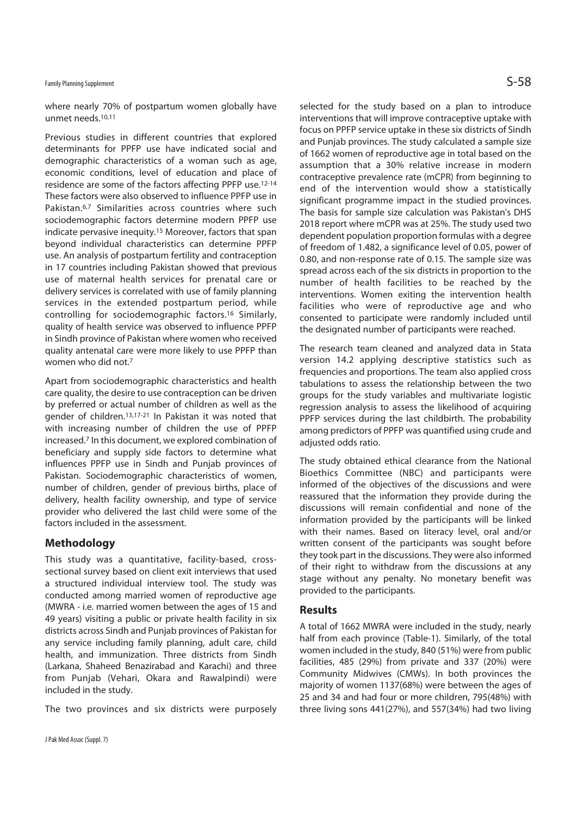## Family Planning Supplement  $\mathsf{S}\text{-}58$

where nearly 70% of postpartum women globally have unmet needs.10,11

Previous studies in different countries that explored determinants for PPFP use have indicated social and demographic characteristics of a woman such as age, economic conditions, level of education and place of residence are some of the factors affecting PPFP use.12-14 These factors were also observed to influence PPFP use in Pakistan.6,7 Similarities across countries where such sociodemographic factors determine modern PPFP use indicate pervasive inequity.15 Moreover, factors that span beyond individual characteristics can determine PPFP use. An analysis of postpartum fertility and contraception in 17 countries including Pakistan showed that previous use of maternal health services for prenatal care or delivery services is correlated with use of family planning services in the extended postpartum period, while controlling for sociodemographic factors.16 Similarly, quality of health service was observed to influence PPFP in Sindh province of Pakistan where women who received quality antenatal care were more likely to use PPFP than women who did not.7

Apart from sociodemographic characteristics and health care quality, the desire to use contraception can be driven by preferred or actual number of children as well as the gender of children.13,17-21 In Pakistan it was noted that with increasing number of children the use of PPFP increased.7 In this document, we explored combination of beneficiary and supply side factors to determine what influences PPFP use in Sindh and Punjab provinces of Pakistan. Sociodemographic characteristics of women, number of children, gender of previous births, place of delivery, health facility ownership, and type of service provider who delivered the last child were some of the factors included in the assessment.

### **Methodology**

This study was a quantitative, facility-based, crosssectional survey based on client exit interviews that used a structured individual interview tool. The study was conducted among married women of reproductive age (MWRA - i.e. married women between the ages of 15 and 49 years) visiting a public or private health facility in six districts across Sindh and Punjab provinces of Pakistan for any service including family planning, adult care, child health, and immunization. Three districts from Sindh (Larkana, Shaheed Benazirabad and Karachi) and three from Punjab (Vehari, Okara and Rawalpindi) were included in the study.

The two provinces and six districts were purposely

selected for the study based on a plan to introduce interventions that will improve contraceptive uptake with focus on PPFP service uptake in these six districts of Sindh and Punjab provinces. The study calculated a sample size of 1662 women of reproductive age in total based on the assumption that a 30% relative increase in modern contraceptive prevalence rate (mCPR) from beginning to end of the intervention would show a statistically significant programme impact in the studied provinces. The basis for sample size calculation was Pakistan's DHS 2018 report where mCPR was at 25%. The study used two dependent population proportion formulas with a degree of freedom of 1.482, a significance level of 0.05, power of 0.80, and non-response rate of 0.15. The sample size was spread across each of the six districts in proportion to the number of health facilities to be reached by the interventions. Women exiting the intervention health facilities who were of reproductive age and who consented to participate were randomly included until the designated number of participants were reached.

The research team cleaned and analyzed data in Stata version 14.2 applying descriptive statistics such as frequencies and proportions. The team also applied cross tabulations to assess the relationship between the two groups for the study variables and multivariate logistic regression analysis to assess the likelihood of acquiring PPFP services during the last childbirth. The probability among predictors of PPFP was quantified using crude and adiusted odds ratio.

The study obtained ethical clearance from the National Bioethics Committee (NBC) and participants were informed of the objectives of the discussions and were reassured that the information they provide during the discussions will remain confidential and none of the information provided by the participants will be linked with their names. Based on literacy level, oral and/or written consent of the participants was sought before they took part in the discussions. They were also informed of their right to withdraw from the discussions at any stage without any penalty. No monetary benefit was provided to the participants.

### **Results**

A total of 1662 MWRA were included in the study, nearly half from each province (Table-1). Similarly, of the total women included in the study, 840 (51%) were from public facilities, 485 (29%) from private and 337 (20%) were Community Midwives (CMWs). In both provinces the majority of women 1137(68%) were between the ages of 25 and 34 and had four or more children, 795(48%) with three living sons 441(27%), and 557(34%) had two living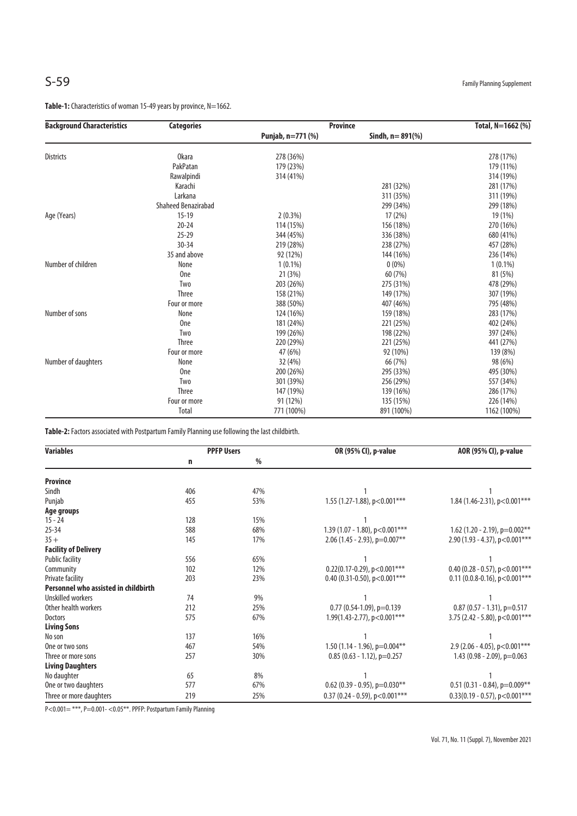Table-1: Characteristics of woman 15-49 years by province, N=1662.

| <b>Background Characteristics</b> | <b>Categories</b>          | <b>Province</b>   |                    | Total, N=1662 (%) |
|-----------------------------------|----------------------------|-------------------|--------------------|-------------------|
|                                   |                            | Punjab, n=771 (%) | Sindh, $n = 891\%$ |                   |
| <b>Districts</b>                  | <b>Okara</b>               | 278 (36%)         |                    | 278 (17%)         |
|                                   | PakPatan                   | 179 (23%)         |                    | 179 (11%)         |
|                                   | Rawalpindi                 | 314 (41%)         |                    | 314 (19%)         |
|                                   | Karachi                    |                   | 281 (32%)          | 281 (17%)         |
|                                   | Larkana                    |                   | 311 (35%)          | 311 (19%)         |
|                                   | <b>Shaheed Benazirabad</b> |                   | 299 (34%)          | 299 (18%)         |
| Age (Years)                       | $15 - 19$                  | $2(0.3\%)$        | 17(2%)             | 19 (1%)           |
|                                   | $20 - 24$                  | 114 (15%)         | 156 (18%)          | 270 (16%)         |
|                                   | $25 - 29$                  | 344 (45%)         | 336 (38%)          | 680 (41%)         |
|                                   | $30 - 34$                  | 219 (28%)         | 238 (27%)          | 457 (28%)         |
|                                   | 35 and above               | 92 (12%)          | 144 (16%)          | 236 (14%)         |
| Number of children                | None                       | $1(0.1\%)$        | $0(0\%)$           | $1(0.1\%)$        |
|                                   | <b>One</b>                 | 21 (3%)           | 60 (7%)            | 81 (5%)           |
|                                   | Two                        | 203 (26%)         | 275 (31%)          | 478 (29%)         |
|                                   | <b>Three</b>               | 158 (21%)         | 149 (17%)          | 307 (19%)         |
|                                   | Four or more               | 388 (50%)         | 407 (46%)          | 795 (48%)         |
| Number of sons                    | None                       | 124 (16%)         | 159 (18%)          | 283 (17%)         |
|                                   | 0 <sub>ne</sub>            | 181 (24%)         | 221 (25%)          | 402 (24%)         |
|                                   | Two                        | 199 (26%)         | 198 (22%)          | 397 (24%)         |
|                                   | <b>Three</b>               | 220 (29%)         | 221 (25%)          | 441 (27%)         |
|                                   | Four or more               | 47 (6%)           | 92 (10%)           | 139 (8%)          |
| Number of daughters               | None                       | 32 (4%)           | 66 (7%)            | 98 (6%)           |
|                                   | 0 <sub>ne</sub>            | 200 (26%)         | 295 (33%)          | 495 (30%)         |
|                                   | <b>Two</b>                 | 301 (39%)         | 256 (29%)          | 557 (34%)         |
|                                   | Three                      | 147 (19%)         | 139 (16%)          | 286 (17%)         |
|                                   | Four or more               | 91 (12%)          | 135 (15%)          | 226 (14%)         |
|                                   | Total                      | 771 (100%)        | 891 (100%)         | 1162 (100%)       |

**Table-2:** Factors associated with Postpartum Family Planning use following the last childbirth.

| <b>Variables</b>                     | <b>PPFP Users</b> |      | OR (95% CI), p-value               | AOR (95% CI), p-value              |
|--------------------------------------|-------------------|------|------------------------------------|------------------------------------|
|                                      | n                 | $\%$ |                                    |                                    |
| <b>Province</b>                      |                   |      |                                    |                                    |
| Sindh                                | 406               | 47%  |                                    |                                    |
| Punjab                               | 455               | 53%  | 1.55 (1.27-1.88), $p < 0.001***$   | 1.84 (1.46-2.31), p<0.001***       |
| Age groups                           |                   |      |                                    |                                    |
| $15 - 24$                            | 128               | 15%  |                                    |                                    |
| $25 - 34$                            | 588               | 68%  | 1.39 (1.07 - 1.80), $p < 0.001***$ | 1.62 (1.20 - 2.19), $p=0.002**$    |
| $35 +$                               | 145               | 17%  | 2.06 (1.45 - 2.93), p=0.007**      | 2.90 (1.93 - 4.37), $p < 0.001***$ |
| <b>Facility of Delivery</b>          |                   |      |                                    |                                    |
| <b>Public facility</b>               | 556               | 65%  |                                    |                                    |
| Community                            | 102               | 12%  | $0.22(0.17-0.29)$ , p<0.001***     | 0.40 (0.28 - 0.57), $p < 0.001***$ |
| Private facility                     | 203               | 23%  | 0.40 (0.31-0.50), $p < 0.001***$   | $0.11(0.0.8-0.16)$ , p<0.001***    |
| Personnel who assisted in childbirth |                   |      |                                    |                                    |
| Unskilled workers                    | 74                | 9%   |                                    |                                    |
| Other health workers                 | 212               | 25%  | $0.77$ (0.54-1.09), p=0.139        | $0.87$ (0.57 - 1.31), p=0.517      |
| Doctors                              | 575               | 67%  | 1.99(1.43-2.77), $p < 0.001***$    | 3.75 (2.42 - 5.80), $p < 0.001***$ |
| <b>Living Sons</b>                   |                   |      |                                    |                                    |
| No son                               | 137               | 16%  |                                    |                                    |
| One or two sons                      | 467               | 54%  | 1.50 (1.14 - 1.96), $p=0.004**$    | 2.9 (2.06 - 4.05), $p < 0.001***$  |
| Three or more sons                   | 257               | 30%  | $0.85$ (0.63 - 1.12), p=0.257      | 1.43 $(0.98 - 2.09)$ , p=0.063     |
| <b>Living Daughters</b>              |                   |      |                                    |                                    |
| No daughter                          | 65                | 8%   |                                    |                                    |
| One or two daughters                 | 577               | 67%  | $0.62$ (0.39 - 0.95), p=0.030**    | $0.51$ (0.31 - 0.84), p=0.009**    |
| Three or more daughters              | 219               | 25%  | 0.37 (0.24 - 0.59), $p < 0.001***$ | $0.33(0.19 - 0.57)$ , p<0.001***   |

P<0.001= \*\*\*, P=0.001- <0.05\*\*. PPFP: Postpartum Family Planning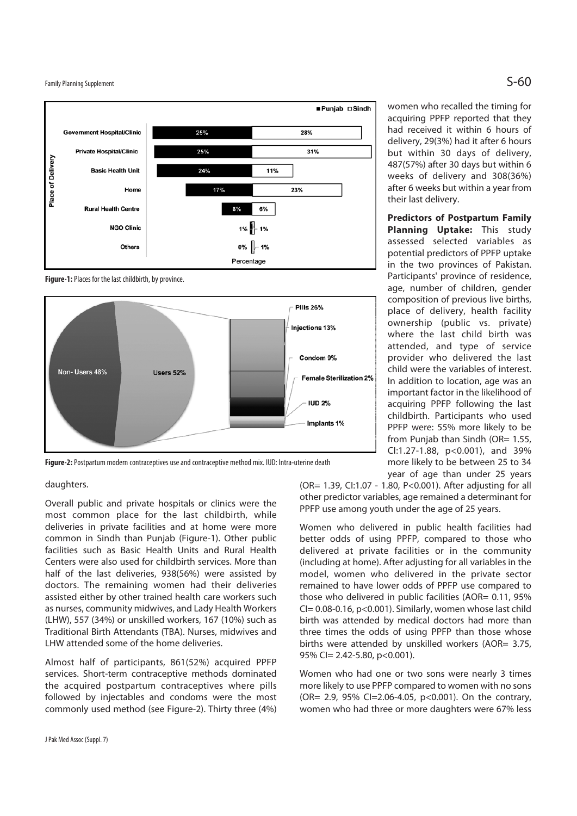Family Planning Supplement  $\mathsf{S}\text{-}\mathsf{60}$ 



**Figure-1:** Places for the last childbirth, by province.



**Figure-2:** Postpartum modern contraceptives use and contraceptive method mix. IUD: Intra-uterine death

women who recalled the timing for acquiring PPFP reported that they had received it within 6 hours of delivery, 29(3%) had it after 6 hours but within 30 days of delivery, 487(57%) after 30 days but within 6 weeks of delivery and 308(36%) after 6 weeks but within a year from their last delivery.

**Predictors of Postpartum Family Planning Uptake:** This study assessed selected variables as potential predictors of PPFP uptake in the two provinces of Pakistan. Participants' province of residence, age, number of children, gender composition of previous live births, place of delivery, health facility ownership (public vs. private) where the last child birth was attended, and type of service provider who delivered the last child were the variables of interest. In addition to location, age was an important factor in the likelihood of acquiring PPFP following the last childbirth. Participants who used PPFP were: 55% more likely to be from Punjab than Sindh (OR= 1.55, CI:1.27-1.88, p<0.001), and 39% more likely to be between 25 to 34 year of age than under 25 years

## daughters.

Overall public and private hospitals or clinics were the most common place for the last childbirth, while deliveries in private facilities and at home were more common in Sindh than Punjab (Figure-1). Other public facilities such as Basic Health Units and Rural Health Centers were also used for childbirth services. More than half of the last deliveries, 938(56%) were assisted by doctors. The remaining women had their deliveries assisted either by other trained health care workers such as nurses, community midwives, and Lady Health Workers (LHW), 557 (34%) or unskilled workers, 167 (10%) such as Traditional Birth Attendants (TBA). Nurses, midwives and LHW attended some of the home deliveries.

Almost half of participants, 861(52%) acquired PPFP services. Short-term contraceptive methods dominated the acquired postpartum contraceptives where pills followed by injectables and condoms were the most commonly used method (see Figure-2). Thirty three (4%)

(OR= 1.39, CI:1.07 - 1.80, P<0.001). After adjusting for all other predictor variables, age remained a determinant for PPFP use among youth under the age of 25 years.

Women who delivered in public health facilities had better odds of using PPFP, compared to those who delivered at private facilities or in the community (including at home). After adjusting for all variables in the model, women who delivered in the private sector remained to have lower odds of PPFP use compared to those who delivered in public facilities (AOR= 0.11, 95%  $Cl = 0.08 - 0.16$ , p<0.001). Similarly, women whose last child birth was attended by medical doctors had more than three times the odds of using PPFP than those whose births were attended by unskilled workers (AOR= 3.75, 95% CI= 2.42-5.80, p<0.001).

Women who had one or two sons were nearly 3 times more likely to use PPFP compared to women with no sons (OR= 2.9, 95% CI=2.06-4.05, p<0.001). On the contrary, women who had three or more daughters were 67% less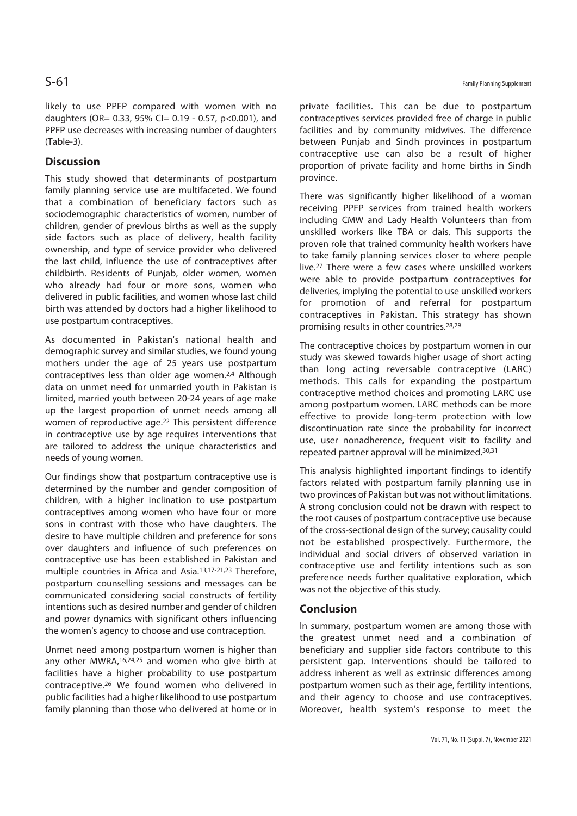likely to use PPFP compared with women with no daughters (OR= 0.33, 95% CI= 0.19 - 0.57, p<0.001), and PPFP use decreases with increasing number of daughters (Table-3).

## **Discussion**

This study showed that determinants of postpartum family planning service use are multifaceted. We found that a combination of beneficiary factors such as sociodemographic characteristics of women, number of children, gender of previous births as well as the supply side factors such as place of delivery, health facility ownership, and type of service provider who delivered the last child, influence the use of contraceptives after childbirth. Residents of Punjab, older women, women who already had four or more sons, women who delivered in public facilities, and women whose last child birth was attended by doctors had a higher likelihood to use postpartum contraceptives.

As documented in Pakistan's national health and demographic survey and similar studies, we found young mothers under the age of 25 years use postpartum contraceptives less than older age women.2,4 Although data on unmet need for unmarried youth in Pakistan is limited, married youth between 20-24 years of age make up the largest proportion of unmet needs among all women of reproductive age.22 This persistent difference in contraceptive use by age requires interventions that are tailored to address the unique characteristics and needs of young women.

Our findings show that postpartum contraceptive use is determined by the number and gender composition of children, with a higher inclination to use postpartum contraceptives among women who have four or more sons in contrast with those who have daughters. The desire to have multiple children and preference for sons over daughters and influence of such preferences on contraceptive use has been established in Pakistan and multiple countries in Africa and Asia.13,17-21,23 Therefore, postpartum counselling sessions and messages can be communicated considering social constructs of fertility intentions such as desired number and gender of children and power dynamics with significant others influencing the women's agency to choose and use contraception.

Unmet need among postpartum women is higher than any other MWRA,<sup>16,24,25</sup> and women who give birth at facilities have a higher probability to use postpartum contraceptive.26 We found women who delivered in public facilities had a higher likelihood to use postpartum family planning than those who delivered at home or in private facilities. This can be due to postpartum contraceptives services provided free of charge in public facilities and by community midwives. The difference between Punjab and Sindh provinces in postpartum contraceptive use can also be a result of higher proportion of private facility and home births in Sindh province.

There was significantly higher likelihood of a woman receiving PPFP services from trained health workers including CMW and Lady Health Volunteers than from unskilled workers like TBA or dais. This supports the proven role that trained community health workers have to take family planning services closer to where people live.27 There were a few cases where unskilled workers were able to provide postpartum contraceptives for deliveries, implying the potential to use unskilled workers for promotion of and referral for postpartum contraceptives in Pakistan. This strategy has shown promising results in other countries.28,29

The contraceptive choices by postpartum women in our study was skewed towards higher usage of short acting than long acting reversable contraceptive (LARC) methods. This calls for expanding the postpartum contraceptive method choices and promoting LARC use among postpartum women. LARC methods can be more effective to provide long-term protection with low discontinuation rate since the probability for incorrect use, user nonadherence, frequent visit to facility and repeated partner approval will be minimized.30,31

This analysis highlighted important findings to identify factors related with postpartum family planning use in two provinces of Pakistan but was not without limitations. A strong conclusion could not be drawn with respect to the root causes of postpartum contraceptive use because of the cross-sectional design of the survey; causality could not be established prospectively. Furthermore, the individual and social drivers of observed variation in contraceptive use and fertility intentions such as son preference needs further qualitative exploration, which was not the objective of this study.

### **Conclusion**

In summary, postpartum women are among those with the greatest unmet need and a combination of beneficiary and supplier side factors contribute to this persistent gap. Interventions should be tailored to address inherent as well as extrinsic differences among postpartum women such as their age, fertility intentions, and their agency to choose and use contraceptives. Moreover, health system's response to meet the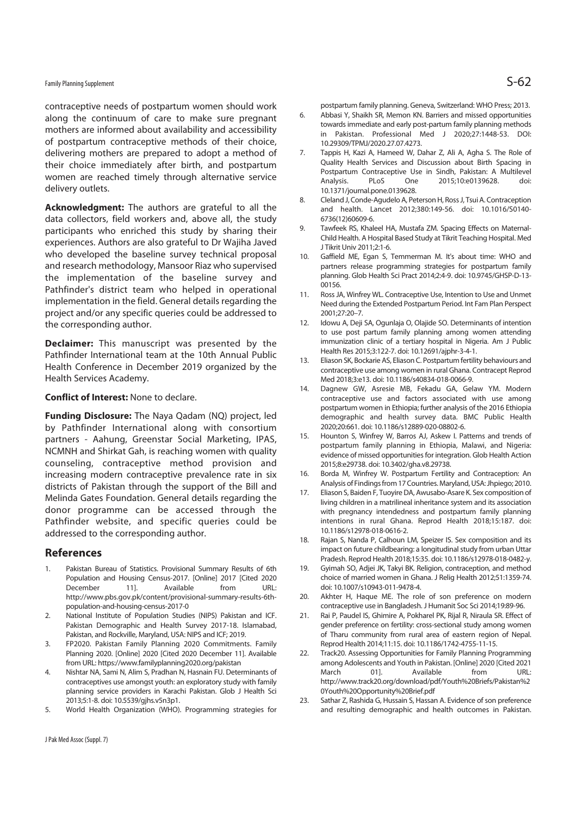## Family Planning Supplement  $\mathsf{S}\text{-62}$

contraceptive needs of postpartum women should work along the continuum of care to make sure pregnant mothers are informed about availability and accessibility of postpartum contraceptive methods of their choice, delivering mothers are prepared to adopt a method of their choice immediately after birth, and postpartum women are reached timely through alternative service delivery outlets.

**Acknowledgment:** The authors are grateful to all the data collectors, field workers and, above all, the study participants who enriched this study by sharing their experiences. Authors are also grateful to Dr Wajiha Javed who developed the baseline survey technical proposal and research methodology, Mansoor Riaz who supervised the implementation of the baseline survey and Pathfinder's district team who helped in operational implementation in the field. General details regarding the project and/or any specific queries could be addressed to the corresponding author.

**Declaimer:** This manuscript was presented by the Pathfinder International team at the 10th Annual Public Health Conference in December 2019 organized by the Health Services Academy.

#### **Conflict of Interest:** None to declare.

**Funding Disclosure:** The Naya Qadam (NQ) project, led by Pathfinder International along with consortium partners - Aahung, Greenstar Social Marketing, IPAS, NCMNH and Shirkat Gah, is reaching women with quality counseling, contraceptive method provision and increasing modern contraceptive prevalence rate in six districts of Pakistan through the support of the Bill and Melinda Gates Foundation. General details regarding the donor programme can be accessed through the Pathfinder website, and specific queries could be addressed to the corresponding author.

#### **References**

- 1. Pakistan Bureau of Statistics. Provisional Summary Results of 6th Population and Housing Census-2017. [Online] 2017 [Cited 2020 December 11]. Available from URL: http://www.pbs.gov.pk/content/provisional-summary-results-6thpopulation-and-housing-census-2017-0
- 2. National Institute of Population Studies (NIPS) Pakistan and ICF. Pakistan Demographic and Health Survey 2017-18. Islamabad, Pakistan, and Rockville, Maryland, USA: NIPS and ICF; 2019.
- 3. FP2020. Pakistan Family Planning 2020 Commitments. Family Planning 2020. [Online] 2020 [Cited 2020 December 11]. Available from URL: https://www.familyplanning2020.org/pakistan
- 4. Nishtar NA, Sami N, Alim S, Pradhan N, Hasnain FU. Determinants of contraceptives use amongst youth: an exploratory study with family planning service providers in Karachi Pakistan. Glob J Health Sci 2013;5:1-8. doi: 10.5539/gjhs.v5n3p1.
- 5. World Health Organization (WHO). Programming strategies for

postpartum family planning. Geneva, Switzerland: WHO Press; 2013.

- 6. Abbasi Y, Shaikh SR, Memon KN. Barriers and missed opportunities towards immediate and early post-partum family planning methods in Pakistan. Professional Med J 2020;27:1448-53. DOI: 10.29309/TPMJ/2020.27.07.4273.
- 7. Tappis H, Kazi A, Hameed W, Dahar Z, Ali A, Agha S. The Role of Quality Health Services and Discussion about Birth Spacing in Postpartum Contraceptive Use in Sindh, Pakistan: A Multilevel Analysis. PLoS One 2015;10:e0139628. doi: 10.1371/journal.pone.0139628.
- 8. Cleland J, Conde-Agudelo A, Peterson H, Ross J, Tsui A. Contraception and health. Lancet 2012;380:149-56. doi: 10.1016/S0140- 6736(12)60609-6.
- 9. Tawfeek RS, Khaleel HA, Mustafa ZM. Spacing Effects on Maternal-Child Health. A Hospital Based Study at Tikrit Teaching Hospital. Med J Tikrit Univ 2011;2:1-6.
- 10. Gaffield ME, Egan S, Temmerman M. It's about time: WHO and partners release programming strategies for postpartum family planning. Glob Health Sci Pract 2014;2:4-9. doi: 10.9745/GHSP-D-13- 00156.
- 11. Ross JA, Winfrey WL. Contraceptive Use, Intention to Use and Unmet Need during the Extended Postpartum Period. Int Fam Plan Perspect 2001;27:20–7.
- 12. Idowu A, Deji SA, Ogunlaja O, Olajide SO. Determinants of intention to use post partum family planning among women attending immunization clinic of a tertiary hospital in Nigeria. Am J Public Health Res 2015;3:122-7. doi: 10.12691/ajphr-3-4-1.
- 13. Eliason SK, Bockarie AS, Eliason C. Postpartum fertility behaviours and contraceptive use among women in rural Ghana. Contracept Reprod Med 2018;3:e13. doi: 10.1186/s40834-018-0066-9.
- 14. Dagnew GW, Asresie MB, Fekadu GA, Gelaw YM. Modern contraceptive use and factors associated with use among postpartum women in Ethiopia; further analysis of the 2016 Ethiopia demographic and health survey data. BMC Public Health 2020;20:661. doi: 10.1186/s12889-020-08802-6.
- 15. Hounton S, Winfrey W, Barros AJ, Askew I. Patterns and trends of postpartum family planning in Ethiopia, Malawi, and Nigeria: evidence of missed opportunities for integration. Glob Health Action 2015;8:e29738. doi: 10.3402/gha.v8.29738.
- 16. Borda M, Winfrey W. Postpartum Fertility and Contraception: An Analysis of Findings from 17 Countries. Maryland, USA: Jhpiego; 2010.
- 17. Eliason S, Baiden F, Tuoyire DA, Awusabo-Asare K. Sex composition of living children in a matrilineal inheritance system and its association with pregnancy intendedness and postpartum family planning intentions in rural Ghana. Reprod Health 2018;15:187. doi: 10.1186/s12978-018-0616-2.
- 18. Rajan S, Nanda P, Calhoun LM, Speizer IS. Sex composition and its impact on future childbearing: a longitudinal study from urban Uttar Pradesh. Reprod Health 2018;15:35. doi: 10.1186/s12978-018-0482-y.
- 19. Gyimah SO, Adjei JK, Takyi BK. Religion, contraception, and method choice of married women in Ghana. J Relig Health 2012;51:1359-74. doi: 10.1007/s10943-011-9478-4.
- 20. Akhter H, Haque ME. The role of son preference on modern contraceptive use in Bangladesh. J Humanit Soc Sci 2014;19:89-96.
- 21. Rai P, Paudel IS, Ghimire A, Pokharel PK, Rijal R, Niraula SR. Effect of gender preference on fertility: cross-sectional study among women of Tharu community from rural area of eastern region of Nepal. Reprod Health 2014;11:15. doi: 10.1186/1742-4755-11-15.
- 22. Track20. Assessing Opportunities for Family Planning Programming among Adolescents and Youth in Pakistan. [Online] 2020 [Cited 2021 March 011. Available from http://www.track20.org/download/pdf/Youth%20Briefs/Pakistan%2 0Youth%20Opportunity%20Brief.pdf
- 23. Sathar Z, Rashida G, Hussain S, Hassan A. Evidence of son preference and resulting demographic and health outcomes in Pakistan.